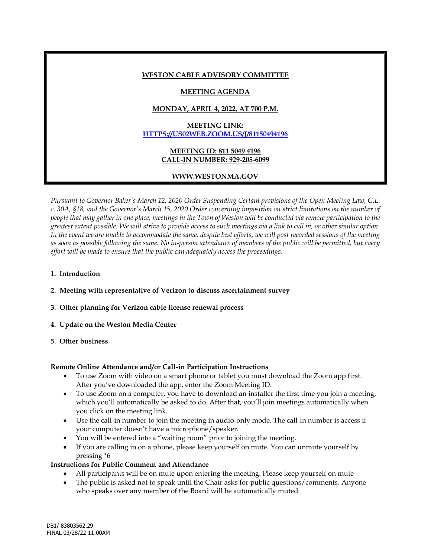### **WESTON CABLE ADVISORY COMMITTEE**

## **MEETING AGENDA**

# **MONDAY, APRIL 4, 2022, AT 700 P.M.**

# **MEETING LINK: [HTTPS://US02WEB.ZOOM.US/J/81150494196](https://us02web.zoom.us/j/81150494196)**

### **MEETING ID: 811 5049 4196 CALL-IN NUMBER: 929-205-6099**

# **WWW.WESTONMA.GOV**

*Pursuant to Governor Baker's March 12, 2020 Order Suspending Certain provisions of the Open Meeting Law, G.L. c. 30A, §18, and the Governor's March 15, 2020 Order concerning imposition on strict limitations on the number of people that may gather in one place, meetings in the Town of Weston will be conducted via remote participation to the greatest extent possible. We will strive to provide access to such meetings via a link to call in, or other similar option. In the event we are unable to accommodate the same, despite best efforts, we will post recorded sessions of the meeting as soon as possible following the same. No in-person attendance of members of the public will be permitted, but every effort will be made to ensure that the public can adequately access the proceedings.*

### **1. Introduction**

## **2. Meeting with representative of Verizon to discuss ascertainment survey**

- **3. Other planning for Verizon cable license renewal process**
- **4. Update on the Weston Media Center**
- **5. Other business**

#### **Remote Online Attendance and/or Call-in Participation Instructions**

- To use Zoom with video on a smart phone or tablet you must download the Zoom app first. After you've downloaded the app, enter the Zoom Meeting ID.
- To use Zoom on a computer, you have to download an installer the first time you join a meeting, which you'll automatically be asked to do. After that, you'll join meetings automatically when you click on the meeting link.
- Use the call-in number to join the meeting in audio-only mode. The call-in number is access if your computer doesn't have a microphone/speaker.
- You will be entered into a "waiting room" prior to joining the meeting.
- If you are calling in on a phone, please keep yourself on mute. You can unmute yourself by pressing \*6

## **Instructions for Public Comment and Attendance**

- All participants will be on mute upon entering the meeting. Please keep yourself on mute
- The public is asked not to speak until the Chair asks for public questions/comments. Anyone who speaks over any member of the Board will be automatically muted